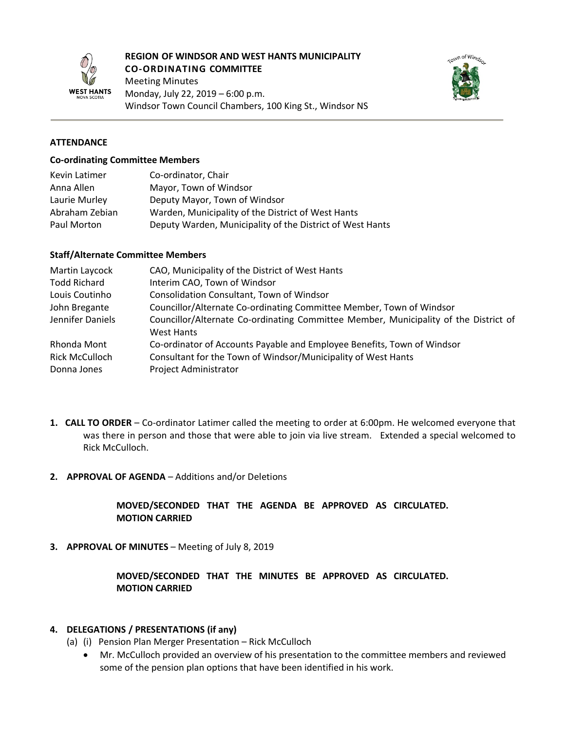

#### **REGION OF WINDSOR AND WEST HANTS MUNICIPALITY CO-ORDINATING COMMITTEE**

Meeting Minutes Monday, July 22, 2019 – 6:00 p.m. Windsor Town Council Chambers, 100 King St., Windsor NS



#### **ATTENDANCE**

#### **Co-ordinating Committee Members**

| Kevin Latimer  | Co-ordinator, Chair                                       |
|----------------|-----------------------------------------------------------|
| Anna Allen     | Mayor, Town of Windsor                                    |
| Laurie Murley  | Deputy Mayor, Town of Windsor                             |
| Abraham Zebian | Warden, Municipality of the District of West Hants        |
| Paul Morton    | Deputy Warden, Municipality of the District of West Hants |

#### **Staff/Alternate Committee Members**

| Martin Laycock        | CAO, Municipality of the District of West Hants                                      |
|-----------------------|--------------------------------------------------------------------------------------|
| <b>Todd Richard</b>   | Interim CAO, Town of Windsor                                                         |
| Louis Coutinho        | <b>Consolidation Consultant, Town of Windsor</b>                                     |
| John Bregante         | Councillor/Alternate Co-ordinating Committee Member, Town of Windsor                 |
| Jennifer Daniels      | Councillor/Alternate Co-ordinating Committee Member, Municipality of the District of |
|                       | <b>West Hants</b>                                                                    |
| Rhonda Mont           | Co-ordinator of Accounts Payable and Employee Benefits, Town of Windsor              |
| <b>Rick McCulloch</b> | Consultant for the Town of Windsor/Municipality of West Hants                        |
| Donna Jones           | Project Administrator                                                                |

- **1. CALL TO ORDER** Co-ordinator Latimer called the meeting to order at 6:00pm. He welcomed everyone that was there in person and those that were able to join via live stream. Extended a special welcomed to Rick McCulloch.
- **2. APPROVAL OF AGENDA** Additions and/or Deletions

### **MOVED/SECONDED THAT THE AGENDA BE APPROVED AS CIRCULATED. MOTION CARRIED**

**3. APPROVAL OF MINUTES** – Meeting of July 8, 2019

### **MOVED/SECONDED THAT THE MINUTES BE APPROVED AS CIRCULATED. MOTION CARRIED**

#### **4. DELEGATIONS / PRESENTATIONS (if any)**

- (a) (i) Pension Plan Merger Presentation Rick McCulloch
	- Mr. McCulloch provided an overview of his presentation to the committee members and reviewed some of the pension plan options that have been identified in his work.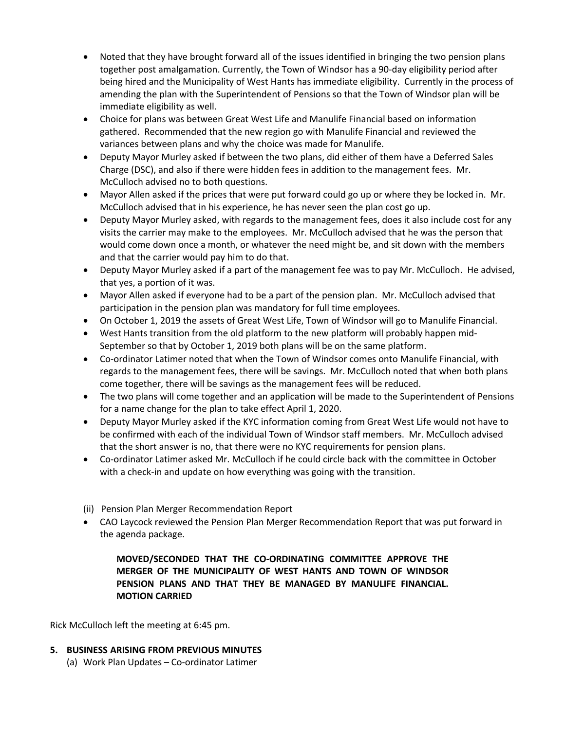- Noted that they have brought forward all of the issues identified in bringing the two pension plans together post amalgamation. Currently, the Town of Windsor has a 90-day eligibility period after being hired and the Municipality of West Hants has immediate eligibility. Currently in the process of amending the plan with the Superintendent of Pensions so that the Town of Windsor plan will be immediate eligibility as well.
- Choice for plans was between Great West Life and Manulife Financial based on information gathered. Recommended that the new region go with Manulife Financial and reviewed the variances between plans and why the choice was made for Manulife.
- Deputy Mayor Murley asked if between the two plans, did either of them have a Deferred Sales Charge (DSC), and also if there were hidden fees in addition to the management fees. Mr. McCulloch advised no to both questions.
- Mayor Allen asked if the prices that were put forward could go up or where they be locked in. Mr. McCulloch advised that in his experience, he has never seen the plan cost go up.
- Deputy Mayor Murley asked, with regards to the management fees, does it also include cost for any visits the carrier may make to the employees. Mr. McCulloch advised that he was the person that would come down once a month, or whatever the need might be, and sit down with the members and that the carrier would pay him to do that.
- Deputy Mayor Murley asked if a part of the management fee was to pay Mr. McCulloch. He advised, that yes, a portion of it was.
- Mayor Allen asked if everyone had to be a part of the pension plan. Mr. McCulloch advised that participation in the pension plan was mandatory for full time employees.
- On October 1, 2019 the assets of Great West Life, Town of Windsor will go to Manulife Financial.
- West Hants transition from the old platform to the new platform will probably happen mid-September so that by October 1, 2019 both plans will be on the same platform.
- Co-ordinator Latimer noted that when the Town of Windsor comes onto Manulife Financial, with regards to the management fees, there will be savings. Mr. McCulloch noted that when both plans come together, there will be savings as the management fees will be reduced.
- The two plans will come together and an application will be made to the Superintendent of Pensions for a name change for the plan to take effect April 1, 2020.
- Deputy Mayor Murley asked if the KYC information coming from Great West Life would not have to be confirmed with each of the individual Town of Windsor staff members. Mr. McCulloch advised that the short answer is no, that there were no KYC requirements for pension plans.
- Co-ordinator Latimer asked Mr. McCulloch if he could circle back with the committee in October with a check-in and update on how everything was going with the transition.
- (ii) Pension Plan Merger Recommendation Report
- CAO Laycock reviewed the Pension Plan Merger Recommendation Report that was put forward in the agenda package.

# **MOVED/SECONDED THAT THE CO-ORDINATING COMMITTEE APPROVE THE MERGER OF THE MUNICIPALITY OF WEST HANTS AND TOWN OF WINDSOR PENSION PLANS AND THAT THEY BE MANAGED BY MANULIFE FINANCIAL. MOTION CARRIED**

Rick McCulloch left the meeting at 6:45 pm.

#### **5. BUSINESS ARISING FROM PREVIOUS MINUTES**

(a) Work Plan Updates – Co-ordinator Latimer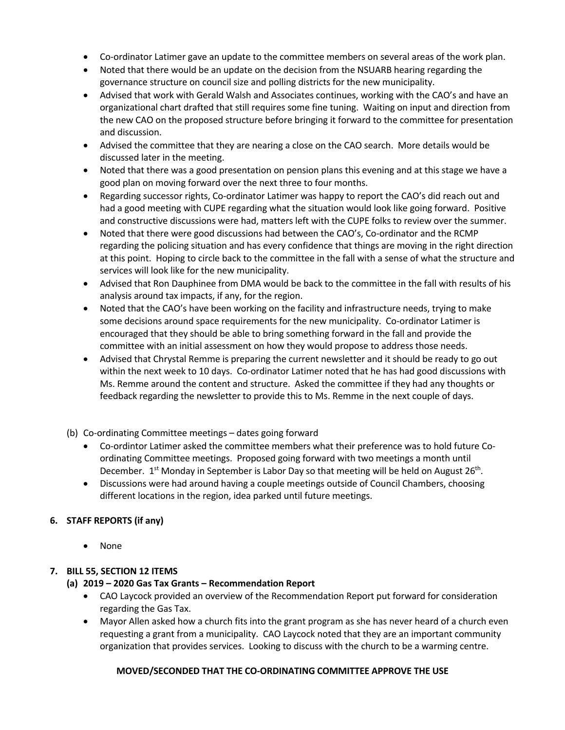- Co-ordinator Latimer gave an update to the committee members on several areas of the work plan.
- Noted that there would be an update on the decision from the NSUARB hearing regarding the governance structure on council size and polling districts for the new municipality.
- Advised that work with Gerald Walsh and Associates continues, working with the CAO's and have an organizational chart drafted that still requires some fine tuning. Waiting on input and direction from the new CAO on the proposed structure before bringing it forward to the committee for presentation and discussion.
- Advised the committee that they are nearing a close on the CAO search. More details would be discussed later in the meeting.
- Noted that there was a good presentation on pension plans this evening and at this stage we have a good plan on moving forward over the next three to four months.
- Regarding successor rights, Co-ordinator Latimer was happy to report the CAO's did reach out and had a good meeting with CUPE regarding what the situation would look like going forward. Positive and constructive discussions were had, matters left with the CUPE folks to review over the summer.
- Noted that there were good discussions had between the CAO's, Co-ordinator and the RCMP regarding the policing situation and has every confidence that things are moving in the right direction at this point. Hoping to circle back to the committee in the fall with a sense of what the structure and services will look like for the new municipality.
- Advised that Ron Dauphinee from DMA would be back to the committee in the fall with results of his analysis around tax impacts, if any, for the region.
- Noted that the CAO's have been working on the facility and infrastructure needs, trying to make some decisions around space requirements for the new municipality. Co-ordinator Latimer is encouraged that they should be able to bring something forward in the fall and provide the committee with an initial assessment on how they would propose to address those needs.
- Advised that Chrystal Remme is preparing the current newsletter and it should be ready to go out within the next week to 10 days. Co-ordinator Latimer noted that he has had good discussions with Ms. Remme around the content and structure. Asked the committee if they had any thoughts or feedback regarding the newsletter to provide this to Ms. Remme in the next couple of days.
- (b) Co-ordinating Committee meetings dates going forward
	- Co-ordintor Latimer asked the committee members what their preference was to hold future Coordinating Committee meetings. Proposed going forward with two meetings a month until December. 1<sup>st</sup> Monday in September is Labor Day so that meeting will be held on August 26<sup>th</sup>.
	- Discussions were had around having a couple meetings outside of Council Chambers, choosing different locations in the region, idea parked until future meetings.

# **6. STAFF REPORTS (if any)**

• None

# **7. BILL 55, SECTION 12 ITEMS**

# **(a) 2019 – 2020 Gas Tax Grants – Recommendation Report**

- CAO Laycock provided an overview of the Recommendation Report put forward for consideration regarding the Gas Tax.
- Mayor Allen asked how a church fits into the grant program as she has never heard of a church even requesting a grant from a municipality. CAO Laycock noted that they are an important community organization that provides services. Looking to discuss with the church to be a warming centre.

# **MOVED/SECONDED THAT THE CO-ORDINATING COMMITTEE APPROVE THE USE**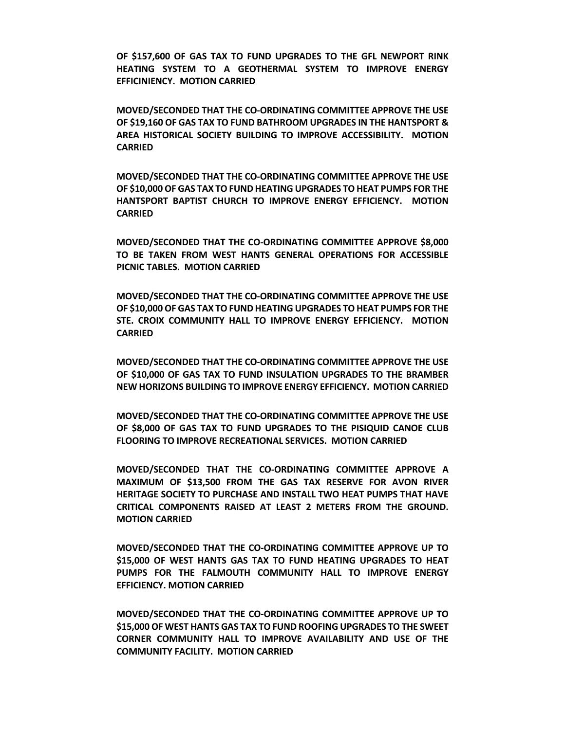**OF \$157,600 OF GAS TAX TO FUND UPGRADES TO THE GFL NEWPORT RINK HEATING SYSTEM TO A GEOTHERMAL SYSTEM TO IMPROVE ENERGY EFFICINIENCY. MOTION CARRIED**

**MOVED/SECONDED THAT THE CO-ORDINATING COMMITTEE APPROVE THE USE OF \$19,160 OF GAS TAX TO FUND BATHROOM UPGRADES IN THE HANTSPORT & AREA HISTORICAL SOCIETY BUILDING TO IMPROVE ACCESSIBILITY. MOTION CARRIED**

**MOVED/SECONDED THAT THE CO-ORDINATING COMMITTEE APPROVE THE USE OF \$10,000 OF GAS TAX TO FUND HEATING UPGRADES TO HEAT PUMPS FOR THE HANTSPORT BAPTIST CHURCH TO IMPROVE ENERGY EFFICIENCY. MOTION CARRIED**

**MOVED/SECONDED THAT THE CO-ORDINATING COMMITTEE APPROVE \$8,000 TO BE TAKEN FROM WEST HANTS GENERAL OPERATIONS FOR ACCESSIBLE PICNIC TABLES. MOTION CARRIED**

**MOVED/SECONDED THAT THE CO-ORDINATING COMMITTEE APPROVE THE USE OF \$10,000 OF GAS TAX TO FUND HEATING UPGRADES TO HEAT PUMPS FOR THE STE. CROIX COMMUNITY HALL TO IMPROVE ENERGY EFFICIENCY. MOTION CARRIED**

**MOVED/SECONDED THAT THE CO-ORDINATING COMMITTEE APPROVE THE USE OF \$10,000 OF GAS TAX TO FUND INSULATION UPGRADES TO THE BRAMBER NEW HORIZONS BUILDING TO IMPROVE ENERGY EFFICIENCY. MOTION CARRIED**

**MOVED/SECONDED THAT THE CO-ORDINATING COMMITTEE APPROVE THE USE OF \$8,000 OF GAS TAX TO FUND UPGRADES TO THE PISIQUID CANOE CLUB FLOORING TO IMPROVE RECREATIONAL SERVICES. MOTION CARRIED**

**MOVED/SECONDED THAT THE CO-ORDINATING COMMITTEE APPROVE A MAXIMUM OF \$13,500 FROM THE GAS TAX RESERVE FOR AVON RIVER HERITAGE SOCIETY TO PURCHASE AND INSTALL TWO HEAT PUMPS THAT HAVE CRITICAL COMPONENTS RAISED AT LEAST 2 METERS FROM THE GROUND. MOTION CARRIED**

**MOVED/SECONDED THAT THE CO-ORDINATING COMMITTEE APPROVE UP TO \$15,000 OF WEST HANTS GAS TAX TO FUND HEATING UPGRADES TO HEAT PUMPS FOR THE FALMOUTH COMMUNITY HALL TO IMPROVE ENERGY EFFICIENCY. MOTION CARRIED**

**MOVED/SECONDED THAT THE CO-ORDINATING COMMITTEE APPROVE UP TO \$15,000 OF WEST HANTS GAS TAX TO FUND ROOFING UPGRADES TO THE SWEET CORNER COMMUNITY HALL TO IMPROVE AVAILABILITY AND USE OF THE COMMUNITY FACILITY. MOTION CARRIED**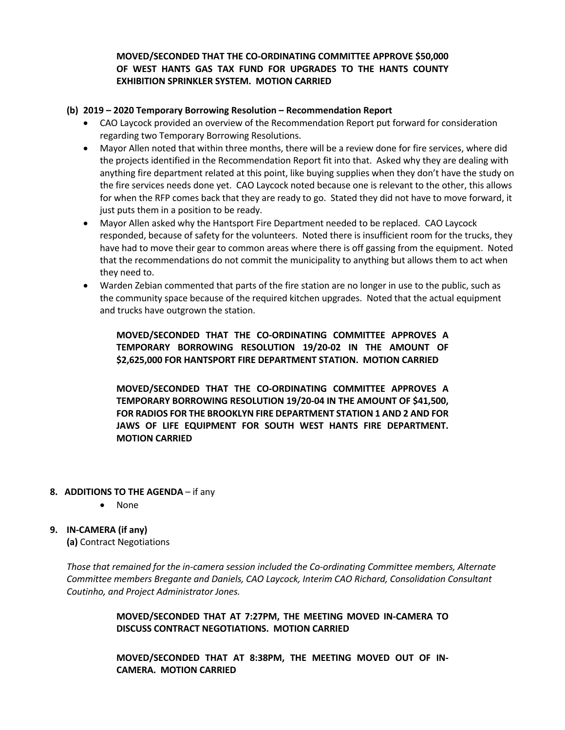# **MOVED/SECONDED THAT THE CO-ORDINATING COMMITTEE APPROVE \$50,000 OF WEST HANTS GAS TAX FUND FOR UPGRADES TO THE HANTS COUNTY EXHIBITION SPRINKLER SYSTEM. MOTION CARRIED**

#### **(b) 2019 – 2020 Temporary Borrowing Resolution – Recommendation Report**

- CAO Laycock provided an overview of the Recommendation Report put forward for consideration regarding two Temporary Borrowing Resolutions.
- Mayor Allen noted that within three months, there will be a review done for fire services, where did the projects identified in the Recommendation Report fit into that. Asked why they are dealing with anything fire department related at this point, like buying supplies when they don't have the study on the fire services needs done yet. CAO Laycock noted because one is relevant to the other, this allows for when the RFP comes back that they are ready to go. Stated they did not have to move forward, it just puts them in a position to be ready.
- Mayor Allen asked why the Hantsport Fire Department needed to be replaced. CAO Laycock responded, because of safety for the volunteers. Noted there is insufficient room for the trucks, they have had to move their gear to common areas where there is off gassing from the equipment. Noted that the recommendations do not commit the municipality to anything but allows them to act when they need to.
- Warden Zebian commented that parts of the fire station are no longer in use to the public, such as the community space because of the required kitchen upgrades. Noted that the actual equipment and trucks have outgrown the station.

**MOVED/SECONDED THAT THE CO-ORDINATING COMMITTEE APPROVES A TEMPORARY BORROWING RESOLUTION 19/20-02 IN THE AMOUNT OF \$2,625,000 FOR HANTSPORT FIRE DEPARTMENT STATION. MOTION CARRIED**

**MOVED/SECONDED THAT THE CO-ORDINATING COMMITTEE APPROVES A TEMPORARY BORROWING RESOLUTION 19/20-04 IN THE AMOUNT OF \$41,500, FOR RADIOS FOR THE BROOKLYN FIRE DEPARTMENT STATION 1 AND 2 AND FOR JAWS OF LIFE EQUIPMENT FOR SOUTH WEST HANTS FIRE DEPARTMENT. MOTION CARRIED**

# **8. ADDITIONS TO THE AGENDA** – if any

• None

# **9. IN-CAMERA (if any)**

**(a)** Contract Negotiations

*Those that remained for the in-camera session included the Co-ordinating Committee members, Alternate Committee members Bregante and Daniels, CAO Laycock, Interim CAO Richard, Consolidation Consultant Coutinho, and Project Administrator Jones.*

> **MOVED/SECONDED THAT AT 7:27PM, THE MEETING MOVED IN-CAMERA TO DISCUSS CONTRACT NEGOTIATIONS. MOTION CARRIED**

> **MOVED/SECONDED THAT AT 8:38PM, THE MEETING MOVED OUT OF IN-CAMERA. MOTION CARRIED**